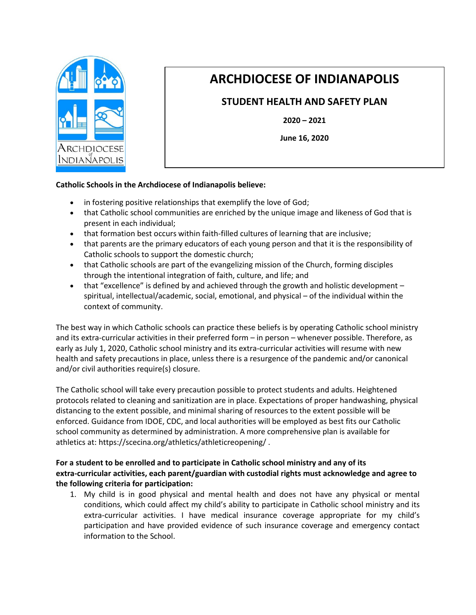

## **ARCHDIOCESE OF INDIANAPOLIS**

## **STUDENT HEALTH AND SAFETY PLAN**

**2020 – 2021**

**June 16, 2020**

## **Catholic Schools in the Archdiocese of Indianapolis believe:**

- in fostering positive relationships that exemplify the love of God;
- that Catholic school communities are enriched by the unique image and likeness of God that is present in each individual;
- that formation best occurs within faith-filled cultures of learning that are inclusive;
- that parents are the primary educators of each young person and that it is the responsibility of Catholic schools to support the domestic church;
- that Catholic schools are part of the evangelizing mission of the Church, forming disciples through the intentional integration of faith, culture, and life; and
- that "excellence" is defined by and achieved through the growth and holistic development spiritual, intellectual/academic, social, emotional, and physical – of the individual within the context of community.

The best way in which Catholic schools can practice these beliefs is by operating Catholic school ministry and its extra-curricular activities in their preferred form – in person – whenever possible. Therefore, as early as July 1, 2020, Catholic school ministry and its extra-curricular activities will resume with new health and safety precautions in place, unless there is a resurgence of the pandemic and/or canonical and/or civil authorities require(s) closure.

The Catholic school will take every precaution possible to protect students and adults. Heightened protocols related to cleaning and sanitization are in place. Expectations of proper handwashing, physical distancing to the extent possible, and minimal sharing of resources to the extent possible will be enforced. Guidance from IDOE, CDC, and local authorities will be employed as best fits our Catholic school community as determined by administration. A more comprehensive plan is available for athletics at:<https://scecina.org/athletics/athleticreopening/> .

## **For a student to be enrolled and to participate in Catholic school ministry and any of its extra-curricular activities, each parent/guardian with custodial rights must acknowledge and agree to the following criteria for participation:**

1. My child is in good physical and mental health and does not have any physical or mental conditions, which could affect my child's ability to participate in Catholic school ministry and its extra-curricular activities. I have medical insurance coverage appropriate for my child's participation and have provided evidence of such insurance coverage and emergency contact information to the School.